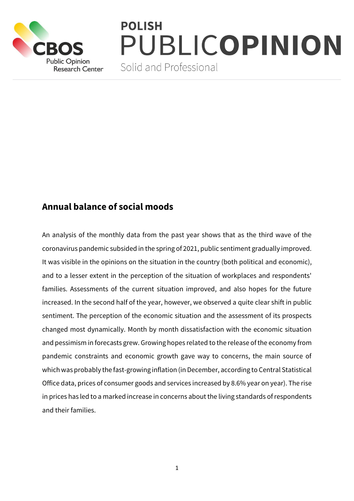

# **POLISH** PUBLICOPINION

Solid and Professional

## **Annual balance of social moods**

An analysis of the monthly data from the past year shows that as the third wave of the coronavirus pandemic subsided in the spring of 2021, public sentiment gradually improved. It was visible in the opinions on the situation in the country (both political and economic), and to a lesser extent in the perception of the situation of workplaces and respondents' families. Assessments of the current situation improved, and also hopes for the future increased. In the second half of the year, however, we observed a quite clear shift in public sentiment. The perception of the economic situation and the assessment of its prospects changed most dynamically. Month by month dissatisfaction with the economic situation and pessimism in forecasts grew. Growing hopes related to the release of the economy from pandemic constraints and economic growth gave way to concerns, the main source of which was probably the fast-growing inflation (in December, according to Central Statistical Office data, prices of consumer goods and services increased by 8.6% year on year). The rise in prices has led to a marked increase in concerns about the living standards of respondents and their families.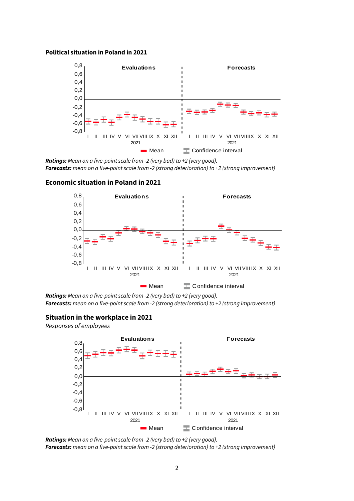#### **Political situation in Poland in 2021**



*Ratings: Mean on a five-point scale from -2 (very bad) to +2 (very good). Forecasts: mean on a five-point scale from -2 (strong deterioration) to +2 (strong improvement)*

#### **Economic situation in Poland in 2021**



*Ratings: Mean on a five-point scale from -2 (very bad) to +2 (very good). Forecasts: mean on a five-point scale from -2 (strong deterioration) to +2 (strong improvement)*

#### **Situation in the workplace in 2021**

*Responses of employees*



*Ratings: Mean on a five-point scale from -2 (very bad) to +2 (very good). Forecasts: mean on a five-point scale from -2 (strong deterioration) to +2 (strong improvement)*